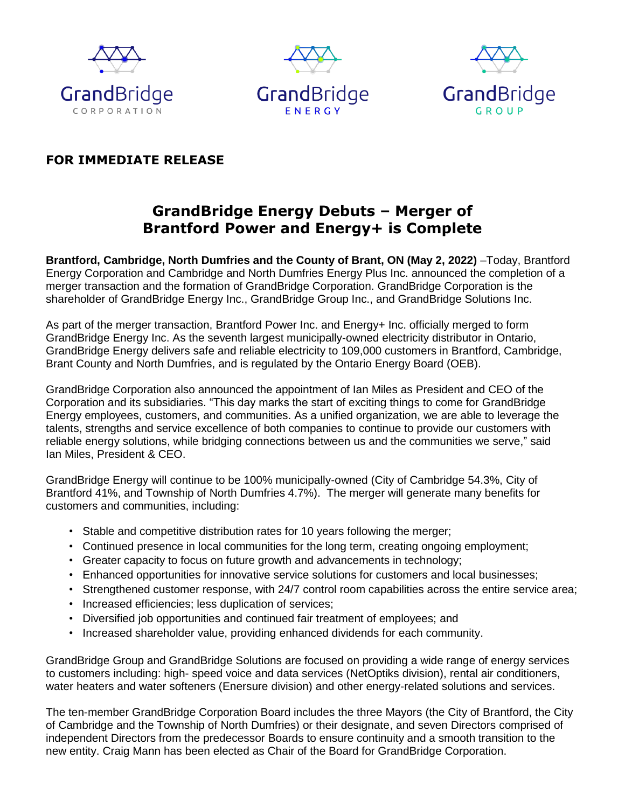





### **FOR IMMEDIATE RELEASE**

## **GrandBridge Energy Debuts – Merger of Brantford Power and Energy+ is Complete**

**Brantford, Cambridge, North Dumfries and the County of Brant, ON (May 2, 2022)** –Today, Brantford Energy Corporation and Cambridge and North Dumfries Energy Plus Inc. announced the completion of a merger transaction and the formation of GrandBridge Corporation. GrandBridge Corporation is the shareholder of GrandBridge Energy Inc., GrandBridge Group Inc., and GrandBridge Solutions Inc.

As part of the merger transaction, Brantford Power Inc. and Energy+ Inc. officially merged to form GrandBridge Energy Inc. As the seventh largest municipally-owned electricity distributor in Ontario, GrandBridge Energy delivers safe and reliable electricity to 109,000 customers in Brantford, Cambridge, Brant County and North Dumfries, and is regulated by the Ontario Energy Board (OEB).

GrandBridge Corporation also announced the appointment of Ian Miles as President and CEO of the Corporation and its subsidiaries. "This day marks the start of exciting things to come for GrandBridge Energy employees, customers, and communities. As a unified organization, we are able to leverage the talents, strengths and service excellence of both companies to continue to provide our customers with reliable energy solutions, while bridging connections between us and the communities we serve," said Ian Miles, President & CEO.

GrandBridge Energy will continue to be 100% municipally-owned (City of Cambridge 54.3%, City of Brantford 41%, and Township of North Dumfries 4.7%). The merger will generate many benefits for customers and communities, including:

- Stable and competitive distribution rates for 10 years following the merger;
- Continued presence in local communities for the long term, creating ongoing employment;
- Greater capacity to focus on future growth and advancements in technology;
- Enhanced opportunities for innovative service solutions for customers and local businesses;
- Strengthened customer response, with 24/7 control room capabilities across the entire service area;
- Increased efficiencies; less duplication of services;
- Diversified job opportunities and continued fair treatment of employees; and
- Increased shareholder value, providing enhanced dividends for each community.

GrandBridge Group and GrandBridge Solutions are focused on providing a wide range of energy services to customers including: high- speed voice and data services (NetOptiks division), rental air conditioners, water heaters and water softeners (Enersure division) and other energy-related solutions and services.

The ten-member GrandBridge Corporation Board includes the three Mayors (the City of Brantford, the City of Cambridge and the Township of North Dumfries) or their designate, and seven Directors comprised of independent Directors from the predecessor Boards to ensure continuity and a smooth transition to the new entity. Craig Mann has been elected as Chair of the Board for GrandBridge Corporation.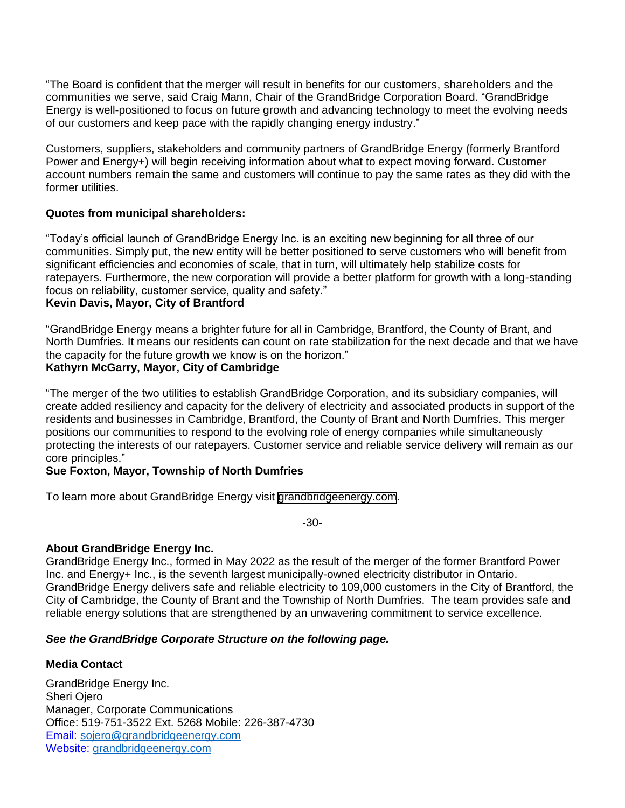"The Board is confident that the merger will result in benefits for our customers, shareholders and the communities we serve, said Craig Mann, Chair of the GrandBridge Corporation Board. "GrandBridge Energy is well-positioned to focus on future growth and advancing technology to meet the evolving needs of our customers and keep pace with the rapidly changing energy industry."

Customers, suppliers, stakeholders and community partners of GrandBridge Energy (formerly Brantford Power and Energy+) will begin receiving information about what to expect moving forward. Customer account numbers remain the same and customers will continue to pay the same rates as they did with the former utilities.

#### **Quotes from municipal shareholders:**

"Today's official launch of GrandBridge Energy Inc. is an exciting new beginning for all three of our communities. Simply put, the new entity will be better positioned to serve customers who will benefit from significant efficiencies and economies of scale, that in turn, will ultimately help stabilize costs for ratepayers. Furthermore, the new corporation will provide a better platform for growth with a long-standing focus on reliability, customer service, quality and safety."

#### **Kevin Davis, Mayor, City of Brantford**

"GrandBridge Energy means a brighter future for all in Cambridge, Brantford, the County of Brant, and North Dumfries. It means our residents can count on rate stabilization for the next decade and that we have the capacity for the future growth we know is on the horizon."

#### **Kathyrn McGarry, Mayor, City of Cambridge**

"The merger of the two utilities to establish GrandBridge Corporation, and its subsidiary companies, will create added resiliency and capacity for the delivery of electricity and associated products in support of the residents and businesses in Cambridge, Brantford, the County of Brant and North Dumfries. This merger positions our communities to respond to the evolving role of energy companies while simultaneously protecting the interests of our ratepayers. Customer service and reliable service delivery will remain as our core principles."

#### **Sue Foxton, Mayor, Township of North Dumfries**

To learn more about GrandBridge Energy visit [grandbridgeenergy.com.](https://www.grandbridgeenergy.com)

-30-

#### **About GrandBridge Energy Inc.**

GrandBridge Energy Inc., formed in May 2022 as the result of the merger of the former Brantford Power Inc. and Energy+ Inc., is the seventh largest municipally-owned electricity distributor in Ontario. GrandBridge Energy delivers safe and reliable electricity to 109,000 customers in the City of Brantford, the City of Cambridge, the County of Brant and the Township of North Dumfries. The team provides safe and reliable energy solutions that are strengthened by an unwavering commitment to service excellence.

#### *See the GrandBridge Corporate Structure on the following page.*

#### **Media Contact**

GrandBridge Energy Inc. Sheri Ojero Manager, Corporate Communications Office: 519-751-3522 Ext. 5268 Mobile: 226-387-4730 Email: [sojero@grandbridgeenergy.com](mailto:sojero@grandbridgeenergy.com) [Website: grandbridgeenergy.com](http://www.grandbridgeenergy.com/)